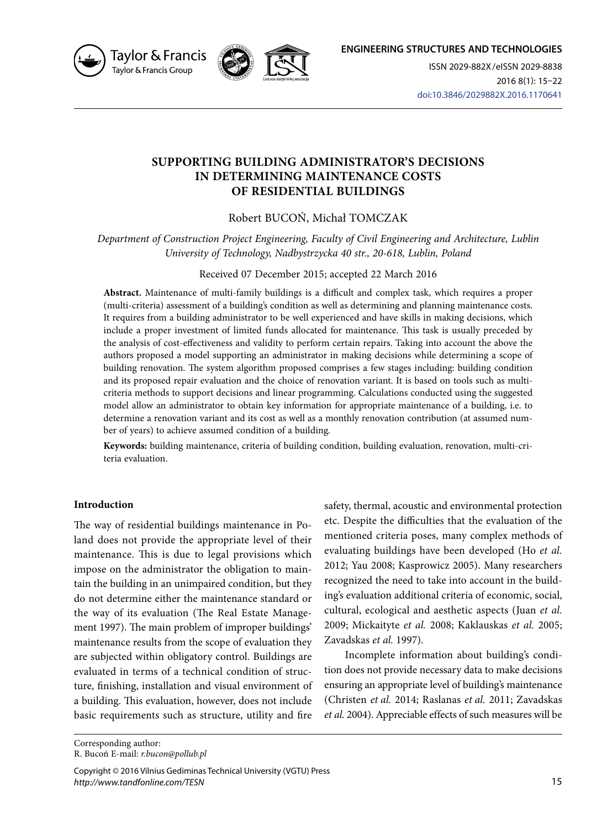





ISSN 2029-882X/eISSN 2029-8838 2016 8(1): 15–22 doi:10.3846/2029882X.2016.1170641

# **SUPPORTING BUILDING ADMINISTRATOR'S DECISIONS IN DETERMINING MAINTENANCE COSTS OF RESIDENTIAL BUILDINGS**

# Robert BUCOŃ, Michał TOMCZAK

*Department of Construction Project Engineering, Faculty of Civil Engineering and Architecture, Lublin University of Technology, Nadbystrzycka 40 str., 20-618, Lublin, Poland* 

### Received 07 December 2015; accepted 22 March 2016

**Abstract.** Maintenance of multi-family buildings is a difficult and complex task, which requires a proper (multi-criteria) assessment of a building's condition as well as determining and planning maintenance costs. It requires from a building administrator to be well experienced and have skills in making decisions, which include a proper investment of limited funds allocated for maintenance. This task is usually preceded by the analysis of cost-effectiveness and validity to perform certain repairs. Taking into account the above the authors proposed a model supporting an administrator in making decisions while determining a scope of building renovation. The system algorithm proposed comprises a few stages including: building condition and its proposed repair evaluation and the choice of renovation variant. It is based on tools such as multicriteria methods to support decisions and linear programming. Calculations conducted using the suggested model allow an administrator to obtain key information for appropriate maintenance of a building, i.e. to determine a renovation variant and its cost as well as a monthly renovation contribution (at assumed number of years) to achieve assumed condition of a building.

**Keywords:** building maintenance, criteria of building condition, building evaluation, renovation, multi-criteria evaluation.

## **Introduction**

The way of residential buildings maintenance in Poland does not provide the appropriate level of their maintenance. This is due to legal provisions which impose on the administrator the obligation to maintain the building in an unimpaired condition, but they do not determine either the maintenance standard or the way of its evaluation (The Real Estate Management 1997). The main problem of improper buildings' maintenance results from the scope of evaluation they are subjected within obligatory control. Buildings are evaluated in terms of a technical condition of structure, finishing, installation and visual environment of a building. This evaluation, however, does not include basic requirements such as structure, utility and fire

safety, thermal, acoustic and environmental protection etc. Despite the difficulties that the evaluation of the mentioned criteria poses, many complex methods of evaluating buildings have been developed (Ho *et al.*  2012; Yau 2008; Kasprowicz 2005). Many researchers recognized the need to take into account in the building's evaluation additional criteria of economic, social, cultural, ecological and aesthetic aspects (Juan *et al.*  2009; Mickaityte *et al.* 2008; Kaklauskas *et al.* 2005; Zavadskas *et al.* 1997).

Incomplete information about building's condition does not provide necessary data to make decisions ensuring an appropriate level of building's maintenance (Christen *et al.* 2014; Raslanas *et al.* 2011; Zavadskas *et al.* 2004). Appreciable effects of such measures will be

Corresponding author: R. Bucoń E-mail: *r.bucon@pollub.pl*

Copyright © 2016 Vilnius Gediminas Technical University (VGTU) Press *http://www.tandfonline.com/TESN*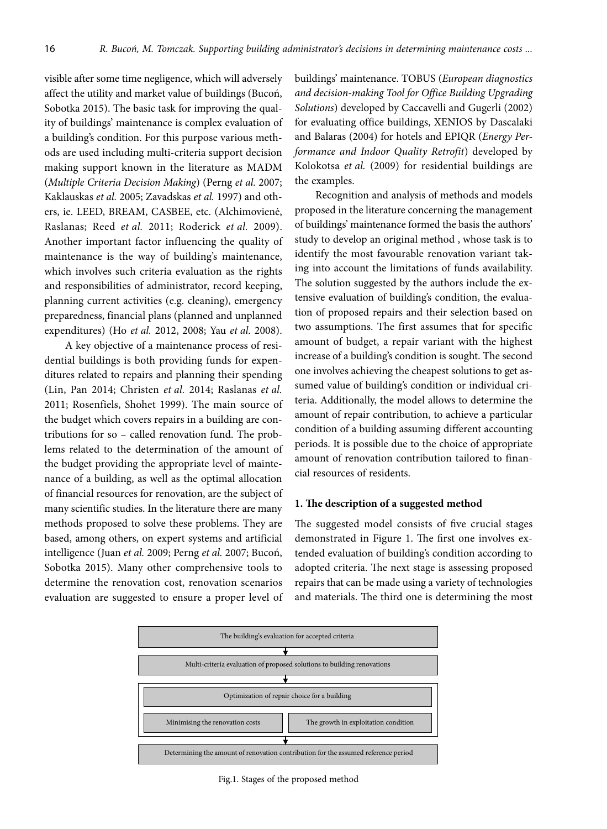visible after some time negligence, which will adversely affect the utility and market value of buildings (Bucoń, Sobotka 2015). The basic task for improving the quality of buildings' maintenance is complex evaluation of a building's condition. For this purpose various methods are used including multi-criteria support decision making support known in the literature as MADM (*Multiple Criteria Decision Making*) (Perng *et al.* 2007; Kaklauskas *et al.* 2005; Zavadskas *et al.* 1997) and others, ie. LEED, BREAM, CASBEE, etc. (Alchimovienė, Raslanas; Reed *et al.* 2011; Roderick *et al.* 2009). Another important factor influencing the quality of maintenance is the way of building's maintenance, which involves such criteria evaluation as the rights and responsibilities of administrator, record keeping, planning current activities (e.g. cleaning), emergency preparedness, financial plans (planned and unplanned expenditures) (Ho *et al.* 2012, 2008; Yau *et al.* 2008).

A key objective of a maintenance process of residential buildings is both providing funds for expenditures related to repairs and planning their spending (Lin, Pan 2014; Christen *et al.* 2014; Raslanas *et al.*  2011; Rosenfiels, Shohet 1999). The main source of the budget which covers repairs in a building are contributions for so – called renovation fund. The problems related to the determination of the amount of the budget providing the appropriate level of maintenance of a building, as well as the optimal allocation of financial resources for renovation, are the subject of many scientific studies. In the literature there are many methods proposed to solve these problems. They are based, among others, on expert systems and artificial intelligence (Juan *et al.* 2009; Perng *et al.* 2007; Bucoń, Sobotka 2015). Many other comprehensive tools to determine the renovation cost, renovation scenarios evaluation are suggested to ensure a proper level of

buildings' maintenance. TOBUS (*European diagnostics and decision-making Tool for Office Building Upgrading Solutions*) developed by Caccavelli and Gugerli (2002) for evaluating office buildings, XENIOS by Dascalaki and Balaras (2004) for hotels and EPIQR (*Energy Performance and Indoor Quality Retrofit*) developed by Kolokotsa *et al.* (2009) for residential buildings are the examples.

Recognition and analysis of methods and models proposed in the literature concerning the management of buildings' maintenance formed the basis the authors' study to develop an original method , whose task is to identify the most favourable renovation variant taking into account the limitations of funds availability. The solution suggested by the authors include the extensive evaluation of building's condition, the evaluation of proposed repairs and their selection based on two assumptions. The first assumes that for specific amount of budget, a repair variant with the highest increase of a building's condition is sought. The second one involves achieving the cheapest solutions to get assumed value of building's condition or individual criteria. Additionally, the model allows to determine the amount of repair contribution, to achieve a particular condition of a building assuming different accounting periods. It is possible due to the choice of appropriate amount of renovation contribution tailored to financial resources of residents.

### **1. The description of a suggested method**

The suggested model consists of five crucial stages demonstrated in Figure 1. The first one involves extended evaluation of building's condition according to adopted criteria. The next stage is assessing proposed repairs that can be made using a variety of technologies and materials. The third one is determining the most



Fig.1. Stages of the proposed method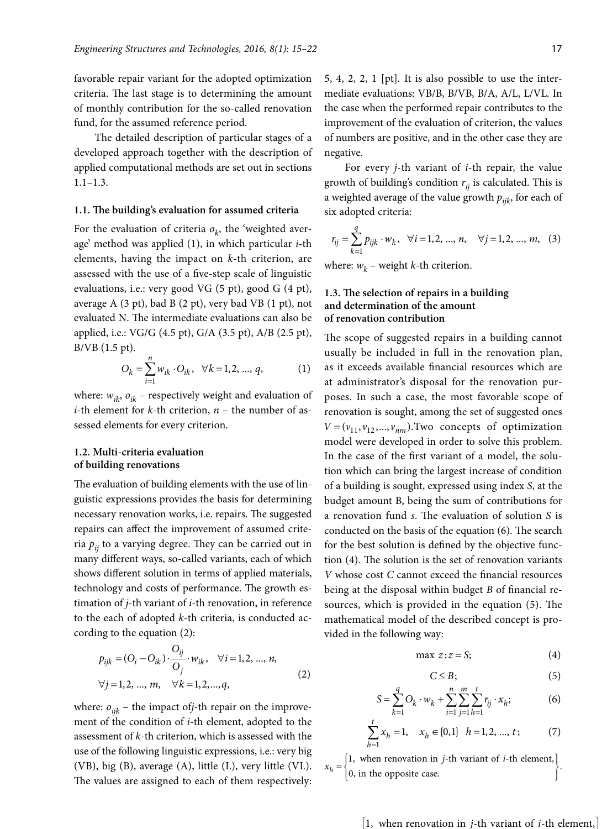favorable repair variant for the adopted optimization criteria. The last stage is to determining the amount of monthly contribution for the so-called renovation fund, for the assumed reference period.

The detailed description of particular stages of a developed approach together with the description of applied computational methods are set out in sections 1.1–1.3.

### **1.1. The building's evaluation for assumed criteria**

For the evaluation of criteria  $o_k$ , the 'weighted average' method was applied (1), in which particular *i*-th elements, having the impact on *k*-th criterion, are assessed with the use of a five-step scale of linguistic evaluations, i.e.: very good VG (5 pt), good G (4 pt), average A (3 pt), bad B (2 pt), very bad VB (1 pt), not evaluated N. The intermediate evaluations can also be applied, i.e.: VG/G (4.5 pt), G/A (3.5 pt), A/B (2.5 pt), B/VB (1.5 pt).

$$
O_k = \sum_{i=1}^{n} w_{ik} \cdot O_{ik}, \quad \forall k = 1, 2, ..., q,
$$
 (1)

where:  $w_{ik}$ ,  $o_{ik}$  – respectively weight and evaluation of *i*-th element for *k*-th criterion, *n* – the number of assessed elements for every criterion.

## **1.2. Multi-criteria evaluation of building renovations**

The evaluation of building elements with the use of linguistic expressions provides the basis for determining necessary renovation works, i.e. repairs. The suggested repairs can affect the improvement of assumed criteria  $p_{ii}$  to a varying degree. They can be carried out in many different ways, so-called variants, each of which shows different solution in terms of applied materials, technology and costs of performance. The growth estimation of *j*-th variant of *i*-th renovation, in reference to the each of adopted *k*-th criteria, is conducted according to the equation (2):

$$
p_{ijk} = (O_i - O_{ik}) \cdot \frac{O_{ij}}{O_j} \cdot w_{ik}, \quad \forall i = 1, 2, ..., n,
$$
  

$$
\forall j = 1, 2, ..., m, \quad \forall k = 1, 2, ..., q,
$$
 (2)

where:  $o_{ijk}$  – the impact of*j*-th repair on the improvement of the condition of *i*-th element, adopted to the assessment of *k*-th criterion, which is assessed with the use of the following linguistic expressions, i.e.: very big (VB), big (B), average (A), little (L), very little (VL). The values are assigned to each of them respectively:

5, 4, 2, 2, 1 [pt]*.* It is also possible to use the intermediate evaluations: VB/B, B/VB, B/A, A/L, L/VL. In the case when the performed repair contributes to the improvement of the evaluation of criterion, the values of numbers are positive, and in the other case they are negative.

For every *j*-th variant of *i*-th repair, the value growth of building's condition  $r_{ii}$  is calculated. This is a weighted average of the value growth  $p_{ijk}$ , for each of six adopted criteria:

$$
r_{ij} = \sum_{k=1}^{q} p_{ijk} \cdot w_k, \quad \forall i = 1, 2, ..., n, \quad \forall j = 1, 2, ..., m, \quad (3)
$$

where:  $w_k$  – weight *k*-th criterion.

### **1.3. The selection of repairs in a building and determination of the amount of renovation contribution**

The scope of suggested repairs in a building cannot usually be included in full in the renovation plan, as it exceeds available financial resources which are at administrator's disposal for the renovation purposes. In such a case, the most favorable scope of renovation is sought, among the set of suggested ones  $V = (v_{11}, v_{12}, ..., v_{nm})$ . Two concepts of optimization model were developed in order to solve this problem. In the case of the first variant of a model, the solution which can bring the largest increase of condition of a building is sought, expressed using index *S*, at the budget amount B, being the sum of contributions for a renovation fund *s*. The evaluation of solution *S* is conducted on the basis of the equation (6). The search for the best solution is defined by the objective function (4). The solution is the set of renovation variants *V* whose cost *C* cannot exceed the financial resources being at the disposal within budget *B* of financial resources, which is provided in the equation (5). The mathematical model of the described concept is provided in the following way:

$$
\max z:z = S;\tag{4}
$$

$$
C \leq B; \tag{5}
$$

$$
S = \sum_{k=1}^{q} O_k \cdot w_k + \sum_{i=1}^{n} \sum_{j=1}^{m} \sum_{h=1}^{t} r_{ij} \cdot x_h; \tag{6}
$$

$$
\sum_{h=1}^{t} x_h = 1, \quad x_h \in \{0, 1\} \quad h = 1, 2, \dots, t \tag{7}
$$

 $x_h = \begin{cases} 1, & \text{when renovation in } j\text{-th variant of } i\text{-th element,} \\ 0, & \text{in the opposite case.} \end{cases}$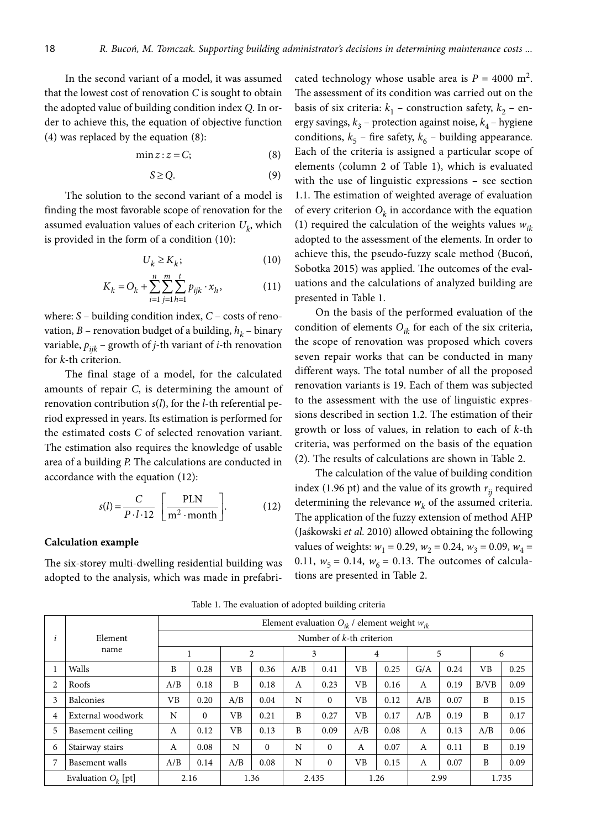In the second variant of a model, it was assumed that the lowest cost of renovation *C* is sought to obtain the adopted value of building condition index *Q*. In order to achieve this, the equation of objective function (4) was replaced by the equation (8):

$$
\min z : z = C; \tag{8}
$$

$$
S \ge Q. \tag{9}
$$

The solution to the second variant of a model is finding the most favorable scope of renovation for the assumed evaluation values of each criterion  $U_k$ , which is provided in the form of a condition (10):

$$
U_k \ge K_k; \tag{10}
$$

$$
K_k = O_k + \sum_{i=1}^{n} \sum_{j=1}^{m} \sum_{h=1}^{t} p_{ijk} \cdot x_h,
$$
 (11)

where: *S* – building condition index, *C* – costs of renovation,  $B$  – renovation budget of a building,  $h_k$  – binary variable,  $p_{ijk}$  – growth of *j*-th variant of *i*-th renovation for *k*-th criterion.

The final stage of a model, for the calculated amounts of repair *C*, is determining the amount of renovation contribution *s*(*l*), for the *l*-th referential period expressed in years. Its estimation is performed for the estimated costs *C* of selected renovation variant. The estimation also requires the knowledge of usable area of a building *P.* The calculations are conducted in accordance with the equation (12):

$$
s(l) = \frac{C}{P \cdot l \cdot 12} \left[ \frac{PLN}{m^2 \cdot month} \right].
$$
 (12)

#### **Calculation example**

The six-storey multi-dwelling residential building was adopted to the analysis, which was made in prefabri-

cated technology whose usable area is  $P = 4000$  m<sup>2</sup>. The assessment of its condition was carried out on the basis of six criteria:  $k_1$  – construction safety,  $k_2$  – energy savings,  $k_3$  – protection against noise,  $k_4$  – hygiene conditions,  $k_5$  – fire safety,  $k_6$  – building appearance. Each of the criteria is assigned a particular scope of elements (column 2 of Table 1), which is evaluated with the use of linguistic expressions – see section 1.1. The estimation of weighted average of evaluation of every criterion  $O_k$  in accordance with the equation (1) required the calculation of the weights values *wik* adopted to the assessment of the elements. In order to achieve this, the pseudo-fuzzy scale method (Bucoń, Sobotka 2015) was applied. The outcomes of the evaluations and the calculations of analyzed building are presented in Table 1.

On the basis of the performed evaluation of the condition of elements  $O_{ik}$  for each of the six criteria, the scope of renovation was proposed which covers seven repair works that can be conducted in many different ways. The total number of all the proposed renovation variants is 19. Each of them was subjected to the assessment with the use of linguistic expressions described in section 1.2. The estimation of their growth or loss of values, in relation to each of *k*-th criteria, was performed on the basis of the equation (2). The results of calculations are shown in Table 2.

The calculation of the value of building condition index (1.96 pt) and the value of its growth  $r_{ii}$  required determining the relevance  $w_k$  of the assumed criteria. The application of the fuzzy extension of method AHP (Jaśkowski *et al.* 2010) allowed obtaining the following values of weights:  $w_1 = 0.29$ ,  $w_2 = 0.24$ ,  $w_3 = 0.09$ ,  $w_4 =$ 0.11,  $w_5 = 0.14$ ,  $w_6 = 0.13$ . The outcomes of calculations are presented in Table 2.

|   |                       | Element evaluation $O_{ik}$ / element weight $w_{ik}$ |              |     |          |       |              |                |      |     |      |       |      |
|---|-----------------------|-------------------------------------------------------|--------------|-----|----------|-------|--------------|----------------|------|-----|------|-------|------|
|   | Element               | Number of $k$ -th criterion                           |              |     |          |       |              |                |      |     |      |       |      |
|   | name                  |                                                       |              | 2   |          | 3     |              | $\overline{4}$ |      | 5   |      | 6     |      |
|   | Walls                 | B                                                     | 0.28         | VВ  | 0.36     | A/B   | 0.41         | VB             | 0.25 | G/A | 0.24 | VB    | 0.25 |
| 2 | Roofs                 | A/B                                                   | 0.18         | B   | 0.18     | A     | 0.23         | VВ             | 0.16 | A   | 0.19 | B/VB  | 0.09 |
| 3 | <b>Balconies</b>      | <b>VB</b>                                             | 0.20         | A/B | 0.04     | N     | $\theta$     | VВ             | 0.12 | A/B | 0.07 | B     | 0.15 |
| 4 | External woodwork     | N                                                     | $\mathbf{0}$ | VB  | 0.21     | B     | 0.27         | VB             | 0.17 | A/B | 0.19 | B     | 0.17 |
| 5 | Basement ceiling      | A                                                     | 0.12         | VB  | 0.13     | B     | 0.09         | A/B            | 0.08 | A   | 0.13 | A/B   | 0.06 |
| 6 | Stairway stairs       | A                                                     | 0.08         | N   | $\Omega$ | N     | $\theta$     | A              | 0.07 | A   | 0.11 | B     | 0.19 |
| 7 | Basement walls        | A/B                                                   | 0.14         | A/B | 0.08     | N     | $\mathbf{0}$ | VВ             | 0.15 | A   | 0.07 | B     | 0.09 |
|   | Evaluation $O_k$ [pt] |                                                       | 2.16         |     | 1.36     | 2.435 |              |                | 1.26 |     | 2.99 | 1.735 |      |

Table 1. The evaluation of adopted building criteria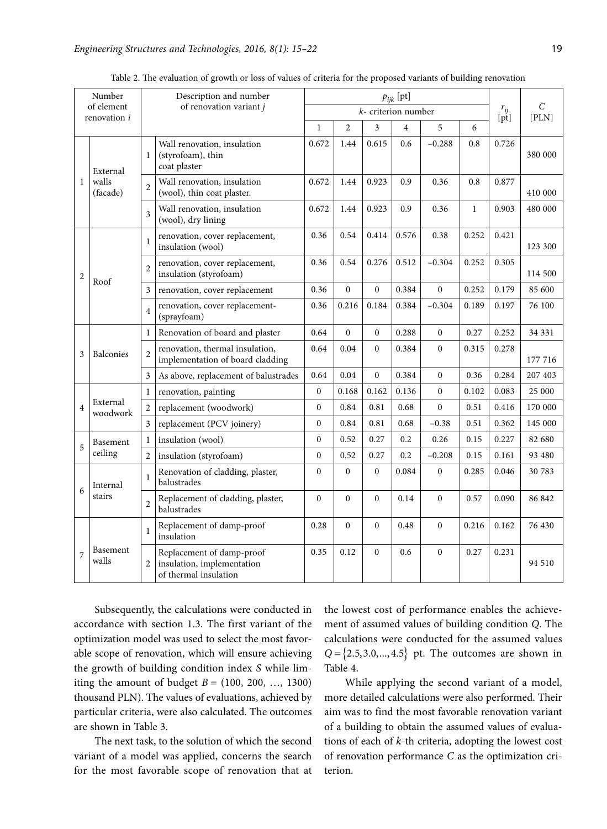| Number<br>of element |                      |                          | Description and number                                                           |                  |                        |                  |                |                                  |              |       |         |
|----------------------|----------------------|--------------------------|----------------------------------------------------------------------------------|------------------|------------------------|------------------|----------------|----------------------------------|--------------|-------|---------|
| renovation i         |                      |                          | of renovation variant j                                                          |                  | $k$ - criterion number | $r_{ij}$<br>[pt] | C<br>[PLN]     |                                  |              |       |         |
|                      |                      |                          |                                                                                  | $\mathbf{1}$     | $\overline{2}$         | 3                | $\overline{4}$ | 5<br>6<br>0.6<br>$-0.288$<br>0.8 |              |       |         |
|                      | External             | 1                        | Wall renovation, insulation<br>(styrofoam), thin<br>coat plaster                 | 0.672            | 1.44                   | 0.615            |                |                                  |              | 0.726 | 380 000 |
| $\mathbf{1}$         | walls<br>(facade)    | $\overline{\mathcal{L}}$ | Wall renovation, insulation<br>(wool), thin coat plaster.                        | 0.672            | 1.44                   | 0.923            | 0.9            | 0.36                             | 0.8          | 0.877 | 410 000 |
|                      |                      | $\overline{3}$           | Wall renovation, insulation<br>(wool), dry lining                                | 0.672            | 1.44                   | 0.923            | 0.9            | 0.36                             | $\mathbf{1}$ | 0.903 | 480 000 |
|                      |                      | 1                        | renovation, cover replacement,<br>insulation (wool)                              | 0.36             | 0.54                   | 0.414            | 0.576          | 0.38                             | 0.252        | 0.421 | 123 300 |
| $\overline{2}$       | Roof                 | $\overline{2}$           | renovation, cover replacement,<br>insulation (styrofoam)                         | 0.36             | 0.54                   | 0.276            | 0.512          | $-0.304$                         | 0.252        | 0.305 | 114 500 |
|                      |                      | 3                        | renovation, cover replacement                                                    | 0.36             | $\mathbf{0}$           | $\mathbf 0$      | 0.384          | $\boldsymbol{0}$                 | 0.252        | 0.179 | 85 600  |
|                      |                      | $\overline{4}$           | renovation, cover replacement-<br>(sprayfoam)                                    | 0.36             | 0.216                  | 0.184            | 0.384          | $-0.304$                         | 0.189        | 0.197 | 76 100  |
|                      |                      | $\mathbf{1}$             | Renovation of board and plaster                                                  | 0.64             | $\mathbf{0}$           | $\mathbf{0}$     | 0.288          | $\boldsymbol{0}$                 | 0.27         | 0.252 | 34 331  |
| 3                    | Balconies            | $\overline{2}$           | renovation, thermal insulation,<br>implementation of board cladding              | 0.64             | 0.04                   | $\mathbf{0}$     | 0.384          | $\overline{0}$                   | 0.315        | 0.278 | 177 716 |
|                      |                      | 3                        | As above, replacement of balustrades                                             | 0.64             | 0.04                   | $\Omega$         | 0.384          | $\theta$                         | 0.36         | 0.284 | 207 403 |
|                      | $\mathbf{1}$         |                          | renovation, painting                                                             | $\boldsymbol{0}$ | 0.168                  | 0.162            | 0.136          | $\boldsymbol{0}$                 | 0.102        | 0.083 | 25 000  |
| $\overline{4}$       | External<br>woodwork | $\overline{2}$           | replacement (woodwork)                                                           | $\boldsymbol{0}$ | 0.84                   | 0.81             | 0.68           | $\mathbf{0}$                     | 0.51         | 0.416 | 170 000 |
|                      |                      | 3                        | replacement (PCV joinery)                                                        | $\theta$         | 0.84                   | 0.81             | 0.68           | $-0.38$                          | 0.51         | 0.362 | 145 000 |
| 5                    | Basement             | 1                        | insulation (wool)                                                                | $\Omega$         | 0.52                   | 0.27             | 0.2            | 0.26                             | 0.15         | 0.227 | 82 680  |
|                      | ceiling              | $\overline{2}$           | insulation (styrofoam)                                                           | $\mathbf{0}$     | 0.52                   | 0.27             | 0.2            | $-0.208$                         | 0.15         | 0.161 | 93 480  |
| 6                    | Internal             | $\mathbf{1}$             | Renovation of cladding, plaster,<br>balustrades                                  | $\mathbf{0}$     | $\mathbf{0}$           | $\mathbf{0}$     | 0.084          | $\boldsymbol{0}$                 | 0.285        | 0.046 | 30 783  |
|                      | stairs               | $\overline{2}$           | Replacement of cladding, plaster,<br>balustrades                                 | $\mathbf{0}$     | $\mathbf{0}$           | $\mathbf{0}$     | 0.14           | $\overline{0}$                   | 0.57         | 0.090 | 86 842  |
|                      |                      | $\mathbf{1}$             | Replacement of damp-proof<br>insulation                                          | 0.28             | $\Omega$               | $\Omega$         | 0.48           | $\theta$                         | 0.216        | 0.162 | 76 430  |
| $\overline{7}$       | Basement<br>walls    | $\overline{2}$           | Replacement of damp-proof<br>insulation, implementation<br>of thermal insulation | 0.35             | 0.12                   | $\Omega$         | 0.6            | $\mathbf{0}$                     | 0.27         | 0.231 | 94 510  |

Table 2. The evaluation of growth or loss of values of criteria for the proposed variants of building renovation

Subsequently, the calculations were conducted in accordance with section 1.3. The first variant of the optimization model was used to select the most favorable scope of renovation, which will ensure achieving the growth of building condition index *S* while limiting the amount of budget  $B = (100, 200, ..., 1300)$ thousand PLN). The values of evaluations, achieved by particular criteria, were also calculated. The outcomes are shown in Table 3.

The next task, to the solution of which the second variant of a model was applied, concerns the search for the most favorable scope of renovation that at

the lowest cost of performance enables the achievement of assumed values of building condition *Q*. The calculations were conducted for the assumed values  $Q = \{2.5, 3.0, ..., 4.5\}$  pt. The outcomes are shown in Table 4.

While applying the second variant of a model, more detailed calculations were also performed. Their aim was to find the most favorable renovation variant of a building to obtain the assumed values of evaluations of each of *k*-th criteria, adopting the lowest cost of renovation performance *C* as the optimization criterion.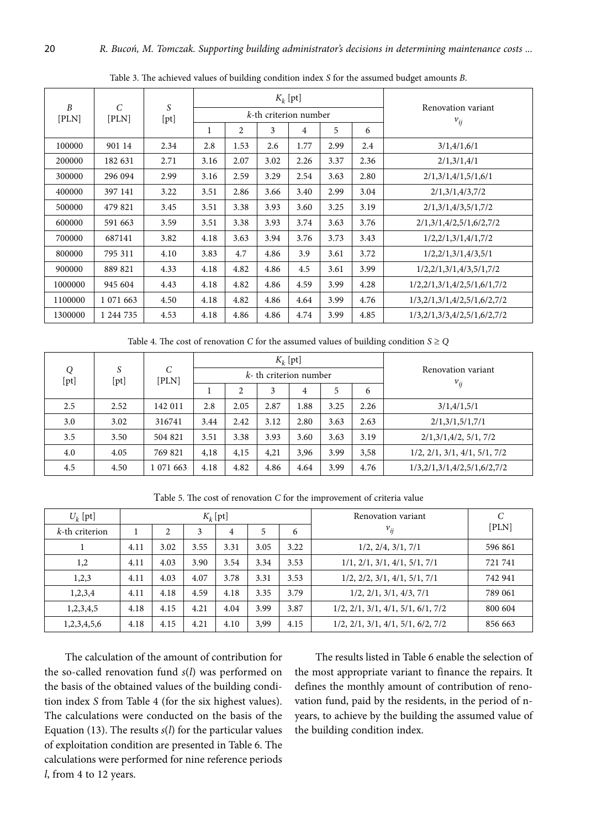|                           |                        | S<br>[pt] |      |      |                          | $K_k$ [pt] |                                |      |                                                       |
|---------------------------|------------------------|-----------|------|------|--------------------------|------------|--------------------------------|------|-------------------------------------------------------|
| $\boldsymbol{B}$<br>[PLN] | $\mathcal{C}$<br>[PLN] |           |      |      | $k$ -th criterion number |            | Renovation variant<br>$v_{ij}$ |      |                                                       |
|                           |                        |           | 1    | 2    | 3                        | 4          | 5                              | 6    |                                                       |
| 100000                    | 901 14                 | 2.34      | 2.8  | 1.53 | 2.6                      | 1.77       | 2.99                           | 2.4  | 3/1,4/1,6/1                                           |
| 200000                    | 182 631                | 2.71      | 3.16 | 2.07 | 3.02                     | 2.26       | 3.37                           | 2.36 | 2/1,3/1,4/1                                           |
| 300000                    | 296 094                | 2.99      | 3.16 | 2.59 | 3.29                     | 2.54       | 3.63                           | 2.80 | 2/1,3/1,4/1,5/1,6/1                                   |
| 400000                    | 397 141                | 3.22      | 3.51 | 2.86 | 3.66                     | 3.40       | 2.99                           | 3.04 | 2/1,3/1,4/3,7/2                                       |
| 500000                    | 479 821                | 3.45      | 3.51 | 3.38 | 3.93                     | 3.60       | 3.25                           | 3.19 | 2/1,3/1,4/3,5/1,7/2                                   |
| 600000                    | 591 663                | 3.59      | 3.51 | 3.38 | 3.93                     | 3.74       | 3.63                           | 3.76 | 2/1,3/1,4/2,5/1,6/2,7/2                               |
| 700000                    | 687141                 | 3.82      | 4.18 | 3.63 | 3.94                     | 3.76       | 3.73                           | 3.43 | 1/2,2/1,3/1,4/1,7/2                                   |
| 800000                    | 795 311                | 4.10      | 3.83 | 4.7  | 4.86                     | 3.9        | 3.61                           | 3.72 | 1/2,2/1,3/1,4/3,5/1                                   |
| 900000                    | 889 821                | 4.33      | 4.18 | 4.82 | 4.86                     | 4.5        | 3.61                           | 3.99 | $1/2$ , $2/1$ , $3/1$ , $4/3$ , $5/1$ , $7/2$         |
| 1000000                   | 945 604                | 4.43      | 4.18 | 4.82 | 4.86                     | 4.59       | 3.99                           | 4.28 | 1/2,2/1,3/1,4/2,5/1,6/1,7/2                           |
| 1100000                   | 1 071 663              | 4.50      | 4.18 | 4.82 | 4.86                     | 4.64       | 3.99                           | 4.76 | $1/3$ , $2/1$ , $3/1$ , $4/2$ , $5/1$ , $6/2$ , $7/2$ |
| 1300000                   | 1 244 735              | 4.53      | 4.18 | 4.86 | 4.86                     | 4.74       | 3.99                           | 4.85 | $1/3$ , $2/1$ , $3/3$ , $4/2$ , $5/1$ , $6/2$ , $7/2$ |

Table 3. The achieved values of building condition index *S* for the assumed budget amounts *B*.

Table 4. The cost of renovation *C* for the assumed values of building condition  $S \ge Q$ 

|           | S<br>[pt] | C<br>[PLN] |      |                | $K_k$ [pt]                |      |                    |      |                                               |
|-----------|-----------|------------|------|----------------|---------------------------|------|--------------------|------|-----------------------------------------------|
| Q<br>[pt] |           |            |      |                | $k$ - th criterion number |      | Renovation variant |      |                                               |
|           |           |            |      | $\overline{c}$ | 3                         | 4    | 5                  | 6    | $v_{ij}$                                      |
| 2.5       | 2.52      | 142 011    | 2.8  | 2.05           | 2.87                      | 1.88 | 3.25               | 2.26 | 3/1,4/1,5/1                                   |
| 3.0       | 3.02      | 316741     | 3.44 | 2.42           | 3.12                      | 2.80 | 3.63               | 2.63 | 2/1,3/1,5/1,7/1                               |
| 3.5       | 3.50      | 504 821    | 3.51 | 3.38           | 3.93                      | 3.60 | 3.63               | 3.19 | 2/1,3/1,4/2,5/1,7/2                           |
| 4.0       | 4.05      | 769 821    | 4,18 | 4,15           | 4,21                      | 3,96 | 3.99               | 3,58 | $1/2$ , $2/1$ , $3/1$ , $4/1$ , $5/1$ , $7/2$ |
| 4.5       | 4.50      | 1 071 663  | 4.18 | 4.82           | 4.86                      | 4.64 | 3.99               | 4.76 | 1/3,2/1,3/1,4/2,5/1,6/2,7/2                   |

| Table 5. The cost of renovation C for the improvement of criteria value |  |
|-------------------------------------------------------------------------|--|
|-------------------------------------------------------------------------|--|

| $U_k$ [pt]     |      |      |      | $K_k$ [pt]     |      |      | Renovation variant                                    | $\mathcal{C}$ |  |
|----------------|------|------|------|----------------|------|------|-------------------------------------------------------|---------------|--|
| k-th criterion |      | ↑    | 3    | $\overline{4}$ | 5    | 6    | $v_{ij}$                                              | [PLN]         |  |
|                | 4.11 | 3.02 | 3.55 | 3.31           | 3.05 | 3.22 | 1/2, 2/4, 3/1, 7/1                                    | 596 861       |  |
| 1,2            | 4.11 | 4.03 | 3.90 | 3.54           | 3.34 | 3.53 | $1/1$ , $2/1$ , $3/1$ , $4/1$ , $5/1$ , $7/1$         | 721 741       |  |
| 1,2,3          | 4.11 | 4.03 | 4.07 | 3.78           | 3.31 | 3.53 | $1/2$ , $2/2$ , $3/1$ , $4/1$ , $5/1$ , $7/1$         | 742 941       |  |
| 1,2,3,4        | 4.11 | 4.18 | 4.59 | 4.18           | 3.35 | 3.79 | 1/2, 2/1, 3/1, 4/3, 7/1                               | 789 061       |  |
| 1,2,3,4,5      | 4.18 | 4.15 | 4.21 | 4.04           | 3.99 | 3.87 | $1/2$ , $2/1$ , $3/1$ , $4/1$ , $5/1$ , $6/1$ , $7/2$ | 800 604       |  |
| 1,2,3,4,5,6    | 4.18 | 4.15 | 4.21 | 4.10           | 3,99 | 4.15 | $1/2$ , $2/1$ , $3/1$ , $4/1$ , $5/1$ , $6/2$ , $7/2$ | 856 663       |  |

The calculation of the amount of contribution for the so-called renovation fund *s*(*l*) was performed on the basis of the obtained values of the building condition index *S* from Table 4 (for the six highest values). The calculations were conducted on the basis of the Equation (13). The results *s*(*l*) for the particular values of exploitation condition are presented in Table 6. The calculations were performed for nine reference periods *l*, from 4 to 12 years.

The results listed in Table 6 enable the selection of the most appropriate variant to finance the repairs. It defines the monthly amount of contribution of renovation fund, paid by the residents, in the period of nyears, to achieve by the building the assumed value of the building condition index.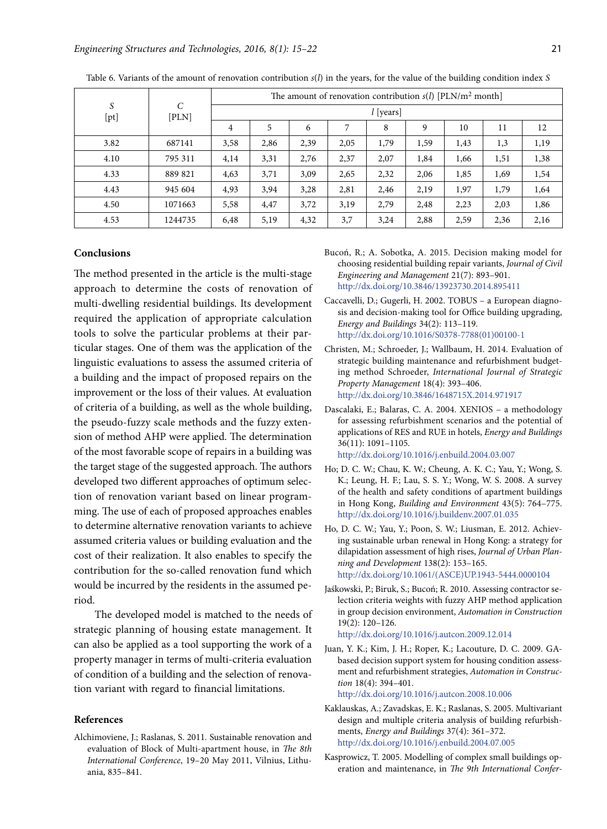|           |                        | The amount of renovation contribution $s(l)$ [PLN/m <sup>2</sup> month] |      |      |      |      |      |      |      |      |  |  |  |
|-----------|------------------------|-------------------------------------------------------------------------|------|------|------|------|------|------|------|------|--|--|--|
| S<br>[pt] | $\mathcal{C}$<br>[PLN] | $l$ [years]                                                             |      |      |      |      |      |      |      |      |  |  |  |
|           |                        | $\overline{4}$                                                          | 5    | 6    |      | 8    | 9    | 10   | 11   | 12   |  |  |  |
| 3.82      | 687141                 | 3,58                                                                    | 2,86 | 2,39 | 2,05 | 1,79 | 1,59 | 1,43 | 1,3  | 1,19 |  |  |  |
| 4.10      | 795 311                | 4,14                                                                    | 3,31 | 2,76 | 2,37 | 2,07 | 1,84 | 1,66 | 1,51 | 1,38 |  |  |  |
| 4.33      | 889 821                | 4,63                                                                    | 3,71 | 3,09 | 2,65 | 2,32 | 2,06 | 1,85 | 1,69 | 1,54 |  |  |  |
| 4.43      | 945 604                | 4,93                                                                    | 3,94 | 3,28 | 2,81 | 2,46 | 2,19 | 1,97 | 1,79 | 1,64 |  |  |  |
| 4.50      | 1071663                | 5,58                                                                    | 4,47 | 3,72 | 3,19 | 2,79 | 2,48 | 2,23 | 2,03 | 1,86 |  |  |  |
| 4.53      | 1244735                | 6,48                                                                    | 5,19 | 4,32 | 3,7  | 3,24 | 2,88 | 2,59 | 2,36 | 2,16 |  |  |  |

Table 6. Variants of the amount of renovation contribution *s*(*l*) in the years, for the value of the building condition index *S*

#### **Conclusions**

The method presented in the article is the multi-stage approach to determine the costs of renovation of multi-dwelling residential buildings. Its development required the application of appropriate calculation tools to solve the particular problems at their particular stages. One of them was the application of the linguistic evaluations to assess the assumed criteria of a building and the impact of proposed repairs on the improvement or the loss of their values. At evaluation of criteria of a building, as well as the whole building, the pseudo-fuzzy scale methods and the fuzzy extension of method AHP were applied. The determination of the most favorable scope of repairs in a building was the target stage of the suggested approach. The authors developed two different approaches of optimum selection of renovation variant based on linear programming. The use of each of proposed approaches enables to determine alternative renovation variants to achieve assumed criteria values or building evaluation and the cost of their realization. It also enables to specify the contribution for the so-called renovation fund which would be incurred by the residents in the assumed period.

The developed model is matched to the needs of strategic planning of housing estate management. It can also be applied as a tool supporting the work of a property manager in terms of multi-criteria evaluation of condition of a building and the selection of renovation variant with regard to financial limitations.

#### **References**

Alchimoviene, J.; Raslanas, S. 2011*.* Sustainable renovation and evaluation of Block of Multi-apartment house, in *The 8th International Conference*, 19–20 May 2011, Vilnius, Lithuania, 835–841.

- Bucoń, R.; A. Sobotka, A. 2015. Decision making model for choosing residential building repair variants, *Journal of Civil Engineering and Management* 21(7): 893–901. http://dx.doi.org/10.3846/13923730.2014.895411
- Caccavelli, D.; Gugerli, H. 2002. TOBUS a European diagnosis and decision-making tool for Office building upgrading, *Energy and Buildings* 34(2): 113–119. http://dx.doi.org/10.1016/S0378-7788(01)00100-1
- Christen, M.; Schroeder, J.; Wallbaum, H. 2014. Evaluation of strategic building maintenance and refurbishment budgeting method Schroeder, *International Journal of Strategic Property Management* 18(4): 393–406. http://dx.doi.org/10.3846/1648715X.2014.971917
- Dascalaki, E.; Balaras, C. A. 2004. XENIOS a methodology for assessing refurbishment scenarios and the potential of applications of RES and RUE in hotels, *Energy and Buildings* 36(11): 1091–1105.
	- http://dx.doi.org/10.1016/j.enbuild.2004.03.007
- Ho; D. C. W.; Chau, K. W.; Cheung, A. K. C.; Yau, Y.; Wong, S. K.; Leung, H. F.; Lau, S. S. Y.; Wong, W. S. 2008. A survey of the health and safety conditions of apartment buildings in Hong Kong, *Building and Environment* 43(5): 764–775. http://dx.doi.org/10.1016/j.buildenv.2007.01.035
- Ho, D. C. W.; Yau, Y.; Poon, S. W.; Liusman, E. 2012. Achieving sustainable urban renewal in Hong Kong: a strategy for dilapidation assessment of high rises, *Journal of Urban Planning and Development* 138(2): 153–165. http://dx.doi.org/10.1061/(ASCE)UP.1943-5444.0000104
- Jaśkowski, P.; Biruk, S.; Bucoń; R. 2010. Assessing contractor selection criteria weights with fuzzy AHP method application in group decision environment, *Automation in Construction* 19(2): 120–126.

http://dx.doi.org/10.1016/j.autcon.2009.12.014

Juan, Y. K.; Kim, J. H.; Roper, K.; Lacouture, D. C. 2009. GAbased decision support system for housing condition assessment and refurbishment strategies, *Automation in Construction* 18(4): 394–401.

http://dx.doi.org/10.1016/j.autcon.2008.10.006

- Kaklauskas, A.; Zavadskas, E. K.; Raslanas, S. 2005. Multivariant design and multiple criteria analysis of building refurbishments, *Energy and Buildings* 37(4): 361–372. http://dx.doi.org/10.1016/j.enbuild.2004.07.005
- Kasprowicz, T. 2005. Modelling of complex small buildings operation and maintenance, in *The 9th International Confer-*